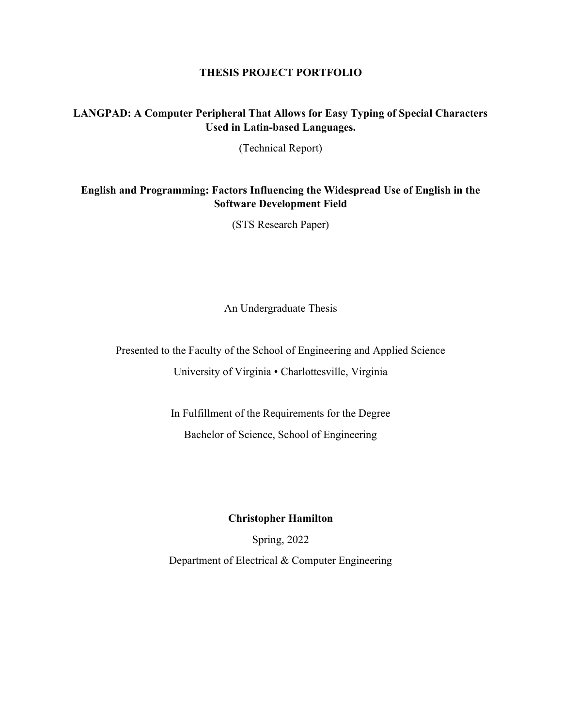#### THESIS PROJECT PORTFOLIO

# LANGPAD: A Computer Peripheral That Allows for Easy Typing of Special Characters Used in Latin-based Languages.

(Technical Report)

## English and Programming: Factors Influencing the Widespread Use of English in the Software Development Field

(STS Research Paper)

An Undergraduate Thesis

Presented to the Faculty of the School of Engineering and Applied Science University of Virginia • Charlottesville, Virginia

> In Fulfillment of the Requirements for the Degree Bachelor of Science, School of Engineering

### Christopher Hamilton

Spring, 2022 Department of Electrical & Computer Engineering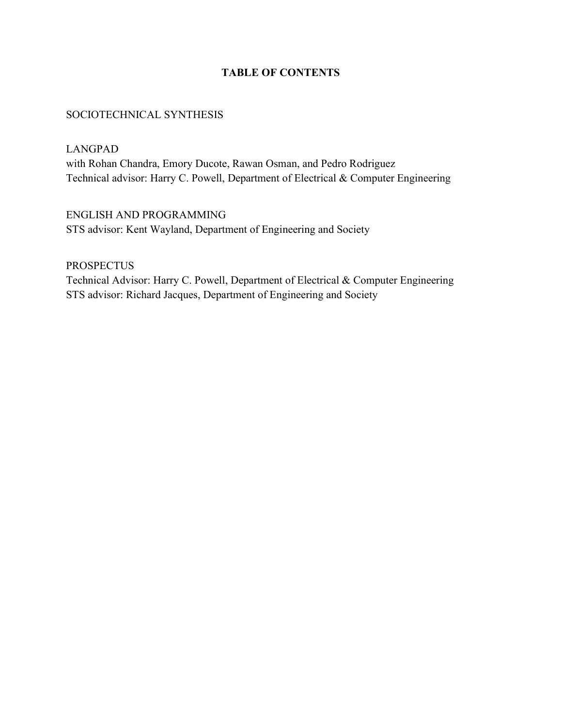# TABLE OF CONTENTS

### SOCIOTECHNICAL SYNTHESIS

LANGPAD

with Rohan Chandra, Emory Ducote, Rawan Osman, and Pedro Rodriguez Technical advisor: Harry C. Powell, Department of Electrical & Computer Engineering

ENGLISH AND PROGRAMMING STS advisor: Kent Wayland, Department of Engineering and Society

PROSPECTUS Technical Advisor: Harry C. Powell, Department of Electrical & Computer Engineering STS advisor: Richard Jacques, Department of Engineering and Society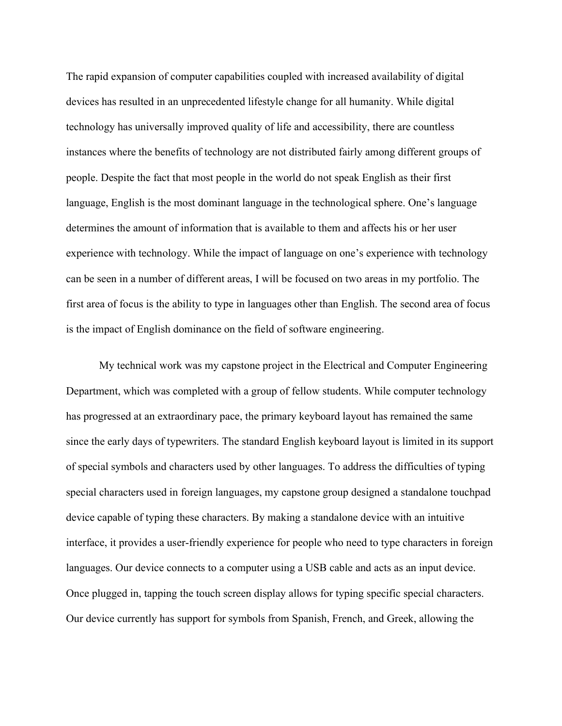The rapid expansion of computer capabilities coupled with increased availability of digital devices has resulted in an unprecedented lifestyle change for all humanity. While digital technology has universally improved quality of life and accessibility, there are countless instances where the benefits of technology are not distributed fairly among different groups of people. Despite the fact that most people in the world do not speak English as their first language, English is the most dominant language in the technological sphere. One's language determines the amount of information that is available to them and affects his or her user experience with technology. While the impact of language on one's experience with technology can be seen in a number of different areas, I will be focused on two areas in my portfolio. The first area of focus is the ability to type in languages other than English. The second area of focus is the impact of English dominance on the field of software engineering.

My technical work was my capstone project in the Electrical and Computer Engineering Department, which was completed with a group of fellow students. While computer technology has progressed at an extraordinary pace, the primary keyboard layout has remained the same since the early days of typewriters. The standard English keyboard layout is limited in its support of special symbols and characters used by other languages. To address the difficulties of typing special characters used in foreign languages, my capstone group designed a standalone touchpad device capable of typing these characters. By making a standalone device with an intuitive interface, it provides a user-friendly experience for people who need to type characters in foreign languages. Our device connects to a computer using a USB cable and acts as an input device. Once plugged in, tapping the touch screen display allows for typing specific special characters. Our device currently has support for symbols from Spanish, French, and Greek, allowing the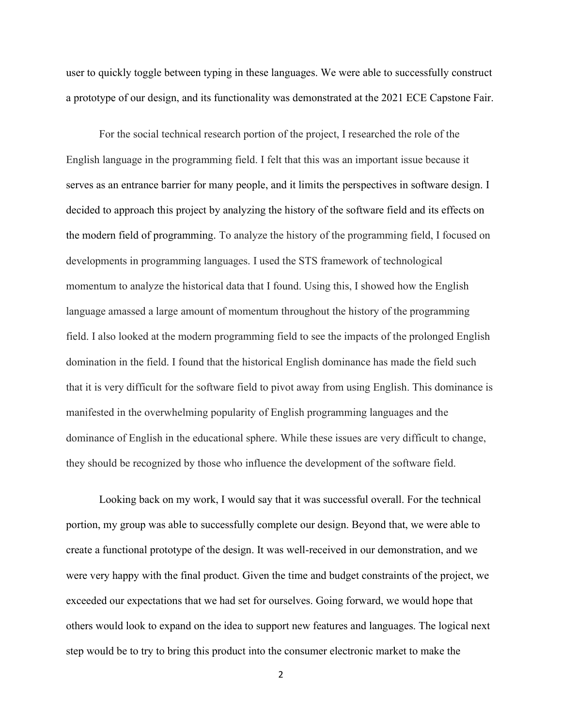user to quickly toggle between typing in these languages. We were able to successfully construct a prototype of our design, and its functionality was demonstrated at the 2021 ECE Capstone Fair.

For the social technical research portion of the project, I researched the role of the English language in the programming field. I felt that this was an important issue because it serves as an entrance barrier for many people, and it limits the perspectives in software design. I decided to approach this project by analyzing the history of the software field and its effects on the modern field of programming. To analyze the history of the programming field, I focused on developments in programming languages. I used the STS framework of technological momentum to analyze the historical data that I found. Using this, I showed how the English language amassed a large amount of momentum throughout the history of the programming field. I also looked at the modern programming field to see the impacts of the prolonged English domination in the field. I found that the historical English dominance has made the field such that it is very difficult for the software field to pivot away from using English. This dominance is manifested in the overwhelming popularity of English programming languages and the dominance of English in the educational sphere. While these issues are very difficult to change, they should be recognized by those who influence the development of the software field.

Looking back on my work, I would say that it was successful overall. For the technical portion, my group was able to successfully complete our design. Beyond that, we were able to create a functional prototype of the design. It was well-received in our demonstration, and we were very happy with the final product. Given the time and budget constraints of the project, we exceeded our expectations that we had set for ourselves. Going forward, we would hope that others would look to expand on the idea to support new features and languages. The logical next step would be to try to bring this product into the consumer electronic market to make the

2